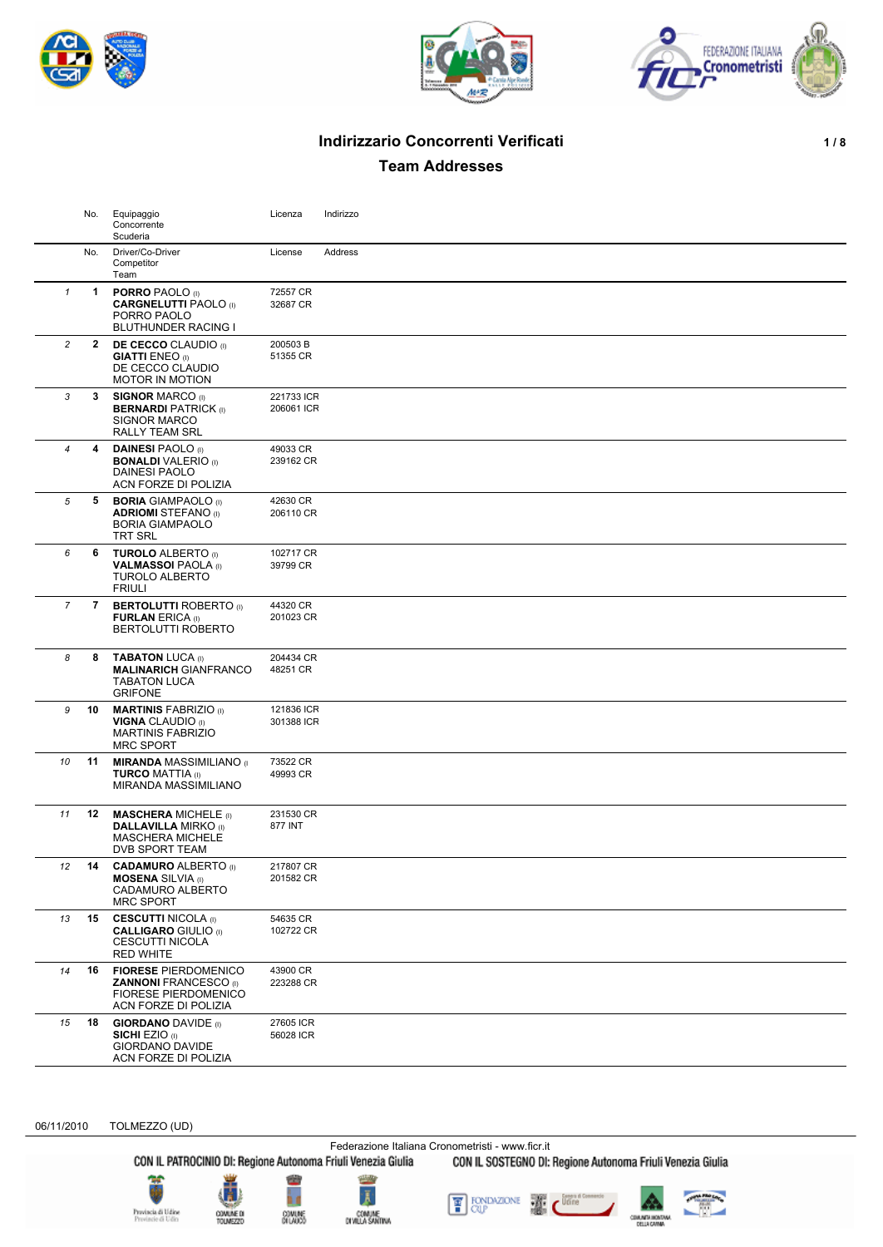





# **Indirizzario Concorrenti Verificati 1/8**

**Team Addresses**

|                  | No.          | Equipaggio<br>Concorrente<br>Scuderia                                                                              | Licenza                  | Indirizzo |
|------------------|--------------|--------------------------------------------------------------------------------------------------------------------|--------------------------|-----------|
|                  | No.          | Driver/Co-Driver<br>Competitor<br>Team                                                                             | License                  | Address   |
| $\mathbf{1}$     | 1            | <b>PORRO PAOLO</b> (I)<br><b>CARGNELUTTI PAOLO</b> (i)<br>PORRO PAOLO<br><b>BLUTHUNDER RACING I</b>                | 72557 CR<br>32687 CR     |           |
| $\overline{c}$   | $\mathbf{2}$ | <b>DE CECCO</b> CLAUDIO (I)<br><b>GIATTI ENEO</b> (I)<br>DE CECCO CLAUDIO<br><b>MOTOR IN MOTION</b>                | 200503B<br>51355 CR      |           |
| 3                | 3            | <b>SIGNOR MARCO (I)</b><br><b>BERNARDI PATRICK (I)</b><br><b>SIGNOR MARCO</b><br>RALLY TEAM SRL                    | 221733 ICR<br>206061 ICR |           |
| $\boldsymbol{4}$ | 4            | <b>DAINESI PAOLO</b> (I)<br><b>BONALDI</b> VALERIO (I)<br>DAINESI PAOLO<br>ACN FORZE DI POLIZIA                    | 49033 CR<br>239162 CR    |           |
| 5                | 5            | <b>BORIA GIAMPAOLO</b> (I)<br><b>ADRIOMI STEFANO</b> (i)<br><b>BORIA GIAMPAOLO</b><br><b>TRT SRL</b>               | 42630 CR<br>206110 CR    |           |
| 6                | 6            | <b>TUROLO ALBERTO</b> (I)<br><b>VALMASSOI PAOLA</b> (I)<br><b>TUROLO ALBERTO</b><br><b>FRIULI</b>                  | 102717 CR<br>39799 CR    |           |
| 7                | 7            | <b>BERTOLUTTI ROBERTO</b> (I)<br><b>FURLAN ERICA (i)</b><br>BERTOLUTTI ROBERTO                                     | 44320 CR<br>201023 CR    |           |
| 8                | 8            | <b>TABATON LUCA (I)</b><br><b>MALINARICH GIANFRANCO</b><br><b>TABATON LUCA</b><br><b>GRIFONE</b>                   | 204434 CR<br>48251 CR    |           |
| 9                | 10           | <b>MARTINIS FABRIZIO (I)</b><br><b>VIGNA CLAUDIO</b> (I)<br><b>MARTINIS FABRIZIO</b><br><b>MRC SPORT</b>           | 121836 ICR<br>301388 ICR |           |
| 10               | 11           | <b>MIRANDA MASSIMILIANO</b> (I<br><b>TURCO MATTIA (I)</b><br>MIRANDA MASSIMILIANO                                  | 73522 CR<br>49993 CR     |           |
| 11               | 12           | <b>MASCHERA MICHELE</b> (i)<br><b>DALLAVILLA MIRKO</b> (I)<br><b>MASCHERA MICHELE</b><br>DVB SPORT TEAM            | 231530 CR<br>877 INT     |           |
| 12               | 14           | <b>CADAMURO ALBERTO (I)</b><br><b>MOSENA SILVIA (I)</b><br>CADAMURO ALBERTO<br><b>MRC SPORT</b>                    | 217807 CR<br>201582 CR   |           |
| 13               | 15           | <b>CESCUTTI NICOLA</b> (i)<br><b>CALLIGARO GIULIO (I)</b><br>CESCUTTI NICOLA<br><b>RED WHITE</b>                   | 54635 CR<br>102722 CR    |           |
| 14               | 16           | <b>FIORESE PIERDOMENICO</b><br><b>ZANNONI FRANCESCO</b> (I)<br><b>FIORESE PIERDOMENICO</b><br>ACN FORZE DI POLIZIA | 43900 CR<br>223288 CR    |           |
| 15               | 18           | <b>GIORDANO DAVIDE</b> (I)<br><b>SICHI EZIO (I)</b><br><b>GIORDANO DAVIDE</b><br>ACN FORZE DI POLIZIA              | 27605 ICR<br>56028 ICR   |           |

06/11/2010 TOLMEZZO (UD)

Federazione Italiana Cronometristi - www.ficr.it<br>CON IL PATROCINIO DI: Regione Autonoma Friuli Venezia Giulia CON IL SOSTEGNO DI: Regione Autonoma Friuli Venezia Giulia









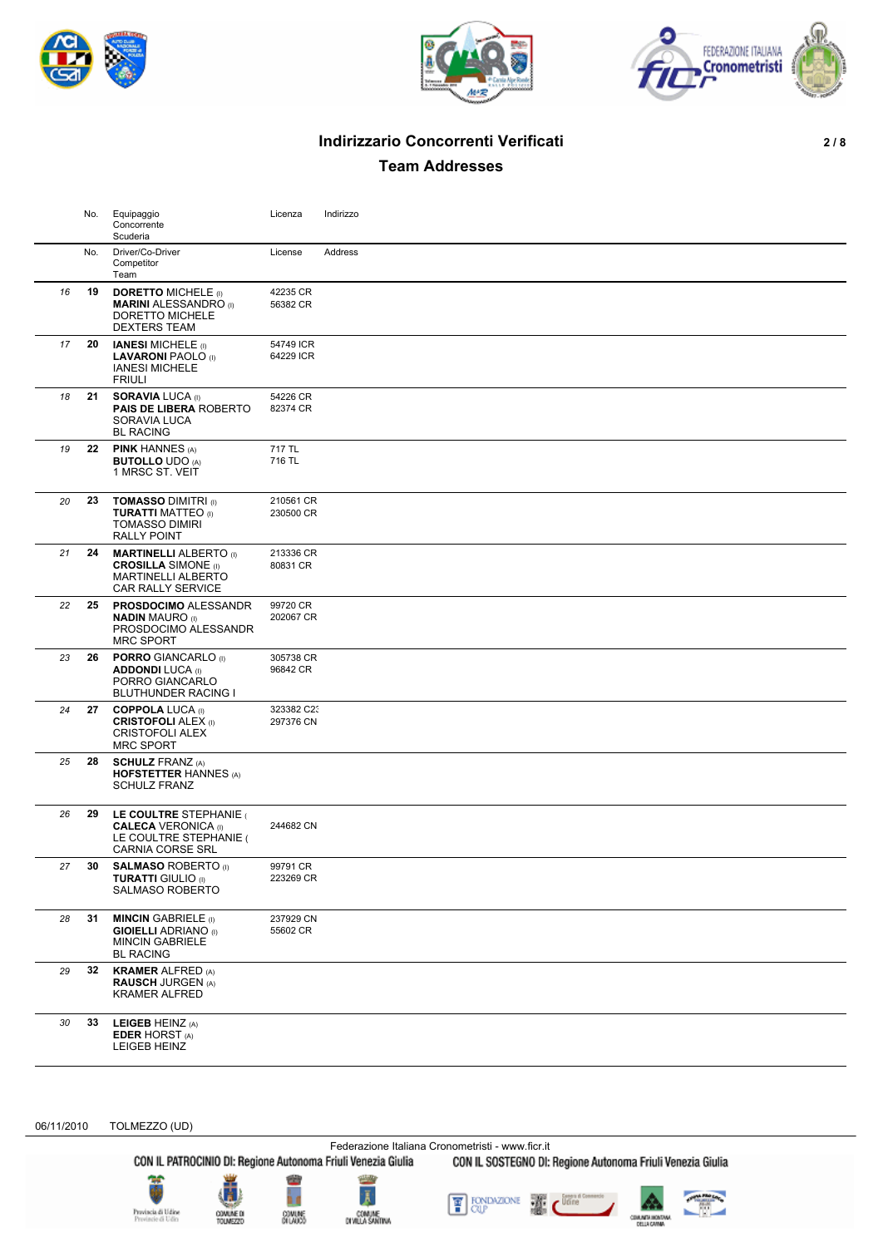





# **Indirizzario Concorrenti Verificati 2 / 8**

**Team Addresses**

|    | No. | Equipaggio<br>Concorrente                                                                                     | Licenza                 | Indirizzo |
|----|-----|---------------------------------------------------------------------------------------------------------------|-------------------------|-----------|
|    |     | Scuderia                                                                                                      |                         |           |
|    | No. | Driver/Co-Driver<br>Competitor                                                                                | License                 | Address   |
|    |     | Team                                                                                                          |                         |           |
| 16 | 19  | <b>DORETTO MICHELE (I)</b><br><b>MARINI ALESSANDRO</b> (I)<br>DORETTO MICHELE<br><b>DEXTERS TEAM</b>          | 42235 CR<br>56382 CR    |           |
| 17 | 20  | <b>IANESI MICHELE</b> (I)<br><b>LAVARONI PAOLO</b> (I)<br><b>IANESI MICHELE</b><br><b>FRIULI</b>              | 54749 ICR<br>64229 ICR  |           |
| 18 | 21  | <b>SORAVIA LUCA (I)</b><br><b>PAIS DE LIBERA ROBERTO</b><br>SORAVIA LUCA<br><b>BL RACING</b>                  | 54226 CR<br>82374 CR    |           |
| 19 | 22  | <b>PINK HANNES (A)</b><br><b>BUTOLLO UDO (A)</b><br>1 MRSC ST. VEIT                                           | 717 TL<br>716 TL        |           |
| 20 | 23  | <b>TOMASSO DIMITRI (I)</b><br><b>TURATTI MATTEO</b> (I)<br><b>TOMASSO DIMIRI</b><br><b>RALLY POINT</b>        | 210561 CR<br>230500 CR  |           |
| 21 | 24  | <b>MARTINELLI ALBERTO</b> (I)<br><b>CROSILLA</b> SIMONE (I)<br><b>MARTINELLI ALBERTO</b><br>CAR RALLY SERVICE | 213336 CR<br>80831 CR   |           |
| 22 | 25  | <b>PROSDOCIMO ALESSANDR</b><br><b>NADIN MAURO</b> (I)<br>PROSDOCIMO ALESSANDR<br><b>MRC SPORT</b>             | 99720 CR<br>202067 CR   |           |
| 23 | 26  | <b>PORRO</b> GIANCARLO (I)<br><b>ADDONDI LUCA (I)</b><br>PORRO GIANCARLO<br><b>BLUTHUNDER RACING I</b>        | 305738 CR<br>96842 CR   |           |
| 24 | 27  | <b>COPPOLA LUCA (I)</b><br><b>CRISTOFOLI ALEX (I)</b><br><b>CRISTOFOLI ALEX</b><br><b>MRC SPORT</b>           | 323382 C23<br>297376 CN |           |
| 25 | 28  | <b>SCHULZ FRANZ (A)</b><br><b>HOFSTETTER HANNES (A)</b><br><b>SCHULZ FRANZ</b>                                |                         |           |
| 26 | 29  | LE COULTRE STEPHANIE<br><b>CALECA VERONICA (I)</b><br>LE COULTRE STEPHANIE (<br><b>CARNIA CORSE SRL</b>       | 244682 CN               |           |
| 27 | 30  | <b>SALMASO ROBERTO</b> (i)<br><b>TURATTI GIULIO (I)</b><br>SALMASO ROBERTO                                    | 99791 CR<br>223269 CR   |           |
| 28 | 31  | <b>MINCIN</b> GABRIELE (I)<br><b>GIOIELLI ADRIANO</b> (I)<br><b>MINCIN GABRIELE</b><br><b>BL RACING</b>       | 237929 CN<br>55602 CR   |           |
| 29 | 32  | <b>KRAMER ALFRED (A)</b><br><b>RAUSCH JURGEN (A)</b><br><b>KRAMER ALFRED</b>                                  |                         |           |
| 30 | 33  | <b>LEIGEB HEINZ (A)</b><br><b>EDER HORST (A)</b><br>LEIGEB HEINZ                                              |                         |           |

06/11/2010 TOLMEZZO (UD)

Federazione Italiana Cronometristi - www.ficr.it<br>CON IL PATROCINIO DI: Regione Autonoma Friuli Venezia Giulia CON IL SOSTEGNO DI: Regione Autonoma Friuli Venezia Giulia





COMUNE D





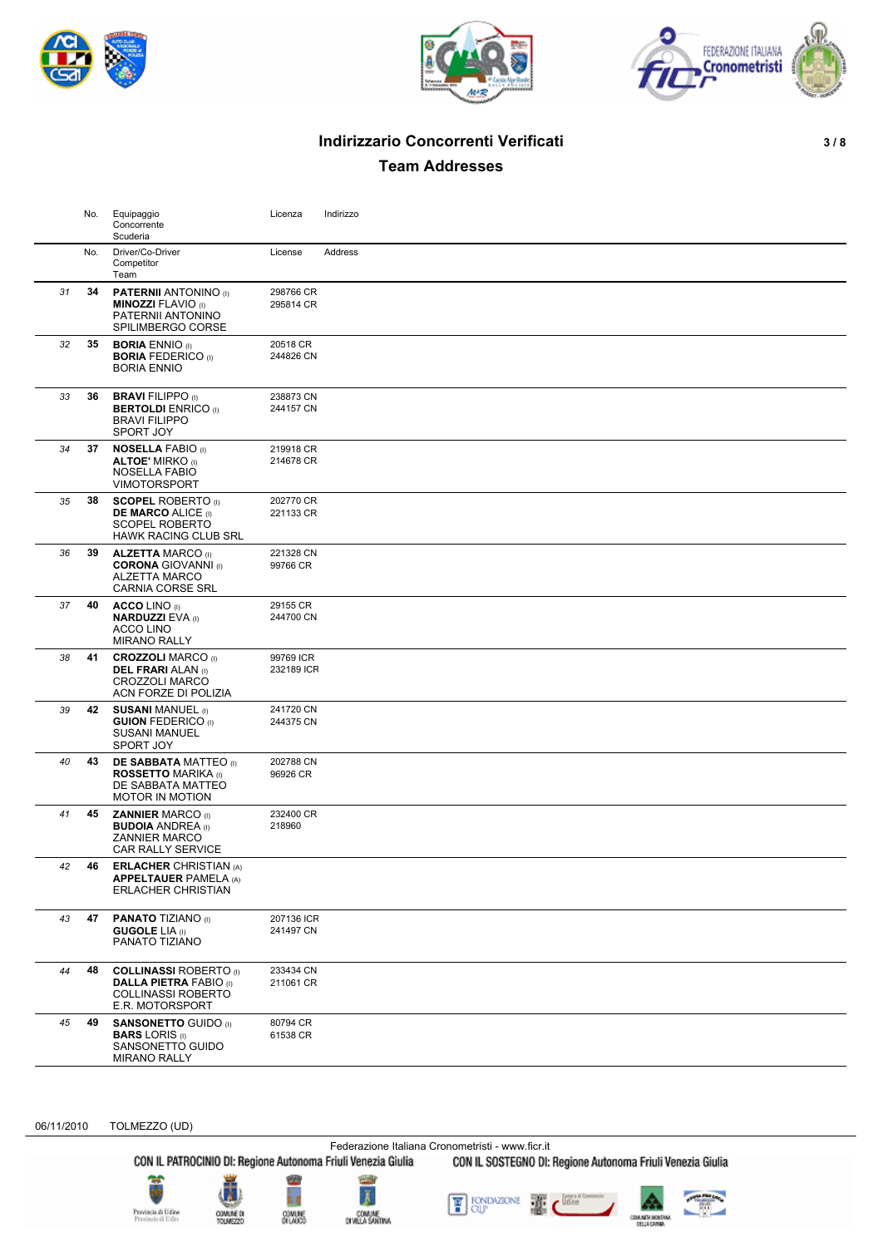





# **Indirizzario Concorrenti Verificati 3 / 8**

**Team Addresses**

|    | No. | Equipaggio<br>Concorrente<br>Scuderia                                                                          | Licenza                 | Indirizzo |
|----|-----|----------------------------------------------------------------------------------------------------------------|-------------------------|-----------|
|    | No. | Driver/Co-Driver<br>Competitor<br>Team                                                                         | License                 | Address   |
| 31 | 34  | <b>PATERNII ANTONINO</b> (I)<br><b>MINOZZI FLAVIO</b> (I)<br>PATERNII ANTONINO<br>SPILIMBERGO CORSE            | 298766 CR<br>295814 CR  |           |
| 32 | 35  | <b>BORIA ENNIO</b> (I)<br><b>BORIA FEDERICO (I)</b><br><b>BORIA ENNIO</b>                                      | 20518 CR<br>244826 CN   |           |
| 33 | 36  | <b>BRAVI FILIPPO (I)</b><br><b>BERTOLDI</b> ENRICO (I)<br><b>BRAVI FILIPPO</b><br>SPORT JOY                    | 238873 CN<br>244157 CN  |           |
| 34 | 37  | <b>NOSELLA FABIO (I)</b><br><b>ALTOE' MIRKO</b> (I)<br><b>NOSELLA FABIO</b><br><b>VIMOTORSPORT</b>             | 219918 CR<br>214678 CR  |           |
| 35 | 38  | <b>SCOPEL ROBERTO</b> (I)<br><b>DE MARCO ALICE (I)</b><br><b>SCOPEL ROBERTO</b><br><b>HAWK RACING CLUB SRL</b> | 202770 CR<br>221133 CR  |           |
| 36 | 39  | <b>ALZETTA MARCO (I)</b><br><b>CORONA GIOVANNI</b> (I)<br><b>ALZETTA MARCO</b><br><b>CARNIA CORSE SRL</b>      | 221328 CN<br>99766 CR   |           |
| 37 | 40  | <b>ACCO LINO</b> (I)<br><b>NARDUZZI EVA (I)</b><br>ACCO LINO<br><b>MIRANO RALLY</b>                            | 29155 CR<br>244700 CN   |           |
| 38 | 41  | <b>CROZZOLI MARCO (I)</b><br><b>DEL FRARI ALAN (I)</b><br><b>CROZZOLI MARCO</b><br>ACN FORZE DI POLIZIA        | 99769 ICR<br>232189 ICR |           |
| 39 | 42  | <b>SUSANI MANUEL (I)</b><br><b>GUION FEDERICO</b> (i)<br><b>SUSANI MANUEL</b><br>SPORT JOY                     | 241720 CN<br>244375 CN  |           |
| 40 | 43  | <b>DE SABBATA MATTEO</b> (I)<br><b>ROSSETTO MARIKA</b> (I)<br>DE SABBATA MATTEO<br><b>MOTOR IN MOTION</b>      | 202788 CN<br>96926 CR   |           |
| 41 | 45  | <b>ZANNIER MARCO (I)</b><br><b>BUDOIA ANDREA</b> (I)<br><b>ZANNIER MARCO</b><br><b>CAR RALLY SERVICE</b>       | 232400 CR<br>218960     |           |
| 42 | 46  | <b>ERLACHER CHRISTIAN (A)</b><br><b>APPELTAUER PAMELA (A)</b><br><b>ERLACHER CHRISTIAN</b>                     |                         |           |
| 43 | 47  | <b>PANATO TIZIANO (I)</b><br><b>GUGOLE LIA</b> (I)<br>PANATO TIZIANO                                           | 207136 ICR<br>241497 CN |           |
| 44 | 48  | <b>COLLINASSI ROBERTO</b> (I)<br><b>DALLA PIETRA FABIO (I)</b><br><b>COLLINASSI ROBERTO</b><br>E.R. MOTORSPORT | 233434 CN<br>211061 CR  |           |
| 45 | 49  | <b>SANSONETTO GUIDO</b> (I)<br><b>BARS LORIS</b> (I)<br>SANSONETTO GUIDO<br><b>MIRANO RALLY</b>                | 80794 CR<br>61538 CR    |           |
|    |     |                                                                                                                |                         |           |

06/11/2010 TOLMEZZO (UD)

Federazione Italiana Cronometristi - www.ficr.it<br>CON IL PATROCINIO DI: Regione Autonoma Friuli Venezia Giulia CON IL SOSTEGNO DI: Regione Autonoma Friuli Venezia Giulia









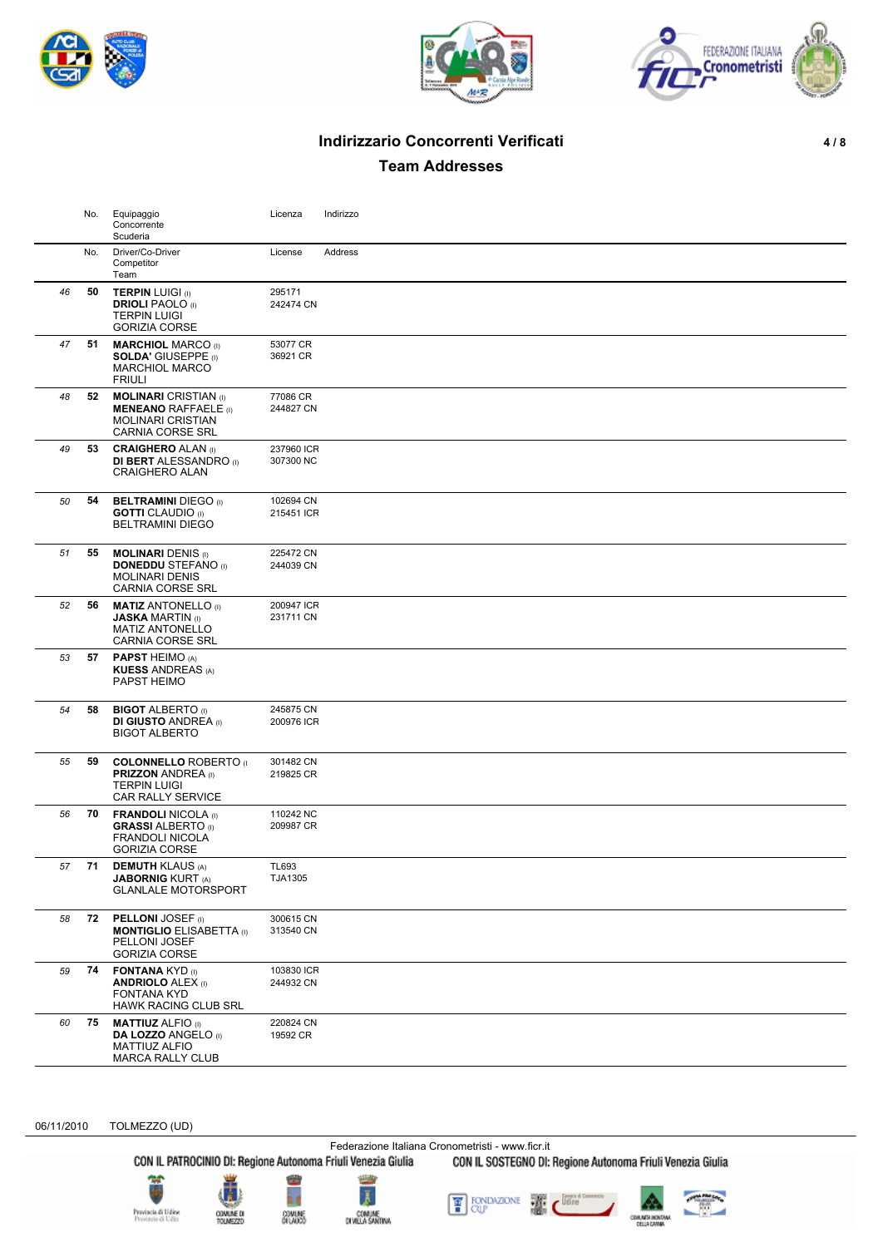





# **Indirizzario Concorrenti Verificati 4 / 8**

**Team Addresses**

|    | No. | Equipaggio<br>Concorrente<br>Scuderia                                                                              | Licenza                 | Indirizzo |
|----|-----|--------------------------------------------------------------------------------------------------------------------|-------------------------|-----------|
|    | No. | Driver/Co-Driver<br>Competitor<br>Team                                                                             | License                 | Address   |
| 46 | 50  | <b>TERPIN LUIGI (I)</b><br><b>DRIOLI PAOLO</b> (I)<br><b>TERPIN LUIGI</b><br><b>GORIZIA CORSE</b>                  | 295171<br>242474 CN     |           |
| 47 | 51  | <b>MARCHIOL MARCO (I)</b><br><b>SOLDA' GIUSEPPE (I)</b><br><b>MARCHIOL MARCO</b><br><b>FRIULI</b>                  | 53077 CR<br>36921 CR    |           |
| 48 | 52  | <b>MOLINARI</b> CRISTIAN (I)<br><b>MENEANO RAFFAELE</b> (i)<br><b>MOLINARI CRISTIAN</b><br><b>CARNIA CORSE SRL</b> | 77086 CR<br>244827 CN   |           |
| 49 | 53  | <b>CRAIGHERO ALAN (I)</b><br><b>DI BERT</b> ALESSANDRO (I)<br><b>CRAIGHERO ALAN</b>                                | 237960 ICR<br>307300 NC |           |
| 50 | 54  | <b>BELTRAMINI DIEGO</b> (I)<br><b>GOTTI</b> CLAUDIO (I)<br><b>BELTRAMINI DIEGO</b>                                 | 102694 CN<br>215451 ICR |           |
| 51 | 55  | <b>MOLINARI DENIS (I)</b><br><b>DONEDDU STEFANO</b> (i)<br><b>MOLINARI DENIS</b><br><b>CARNIA CORSE SRL</b>        | 225472 CN<br>244039 CN  |           |
| 52 | 56  | <b>MATIZ ANTONELLO</b> (I)<br><b>JASKA MARTIN</b> (I)<br><b>MATIZ ANTONELLO</b><br><b>CARNIA CORSE SRL</b>         | 200947 ICR<br>231711 CN |           |
| 53 | 57  | <b>PAPST HEIMO (A)</b><br><b>KUESS ANDREAS (A)</b><br>PAPST HEIMO                                                  |                         |           |
| 54 | 58  | <b>BIGOT ALBERTO</b> (I)<br><b>DI GIUSTO ANDREA</b> (I)<br><b>BIGOT ALBERTO</b>                                    | 245875 CN<br>200976 ICR |           |
| 55 | 59  | <b>COLONNELLO ROBERTO</b> (I)<br><b>PRIZZON ANDREA</b> (I)<br><b>TERPIN LUIGI</b><br>CAR RALLY SERVICE             | 301482 CN<br>219825 CR  |           |
| 56 | 70  | <b>FRANDOLI NICOLA (I)</b><br><b>GRASSI ALBERTO</b> (I)<br><b>FRANDOLI NICOLA</b><br><b>GORIZIA CORSE</b>          | 110242 NC<br>209987 CR  |           |
| 57 | 71  | <b>DEMUTH KLAUS (A)</b><br><b>JABORNIG KURT (A)</b><br><b>GLANLALE MOTORSPORT</b>                                  | <b>TL693</b><br>TJA1305 |           |
| 58 | 72  | <b>PELLONI JOSEF</b> (i)<br><b>MONTIGLIO ELISABETTA</b> (I)<br>PELLONI JOSEF<br><b>GORIZIA CORSE</b>               | 300615 CN<br>313540 CN  |           |
| 59 | 74  | <b>FONTANA KYD (I)</b><br><b>ANDRIOLO ALEX (I)</b><br><b>FONTANA KYD</b><br>HAWK RACING CLUB SRL                   | 103830 ICR<br>244932 CN |           |
| 60 | 75  | <b>MATTIUZ ALFIO (I)</b><br><b>DA LOZZO ANGELO (I)</b><br>MATTIUZ ALFIO<br><b>MARCA RALLY CLUB</b>                 | 220824 CN<br>19592 CR   |           |

06/11/2010 TOLMEZZO (UD)

Federazione Italiana Cronometristi - www.ficr.it<br>CON IL PATROCINIO DI: Regione Autonoma Friuli Venezia Giulia CON IL SOSTEGNO DI: Regione Autonoma Friuli Venezia Giulia





COMUME D<br>TOUMEZZE





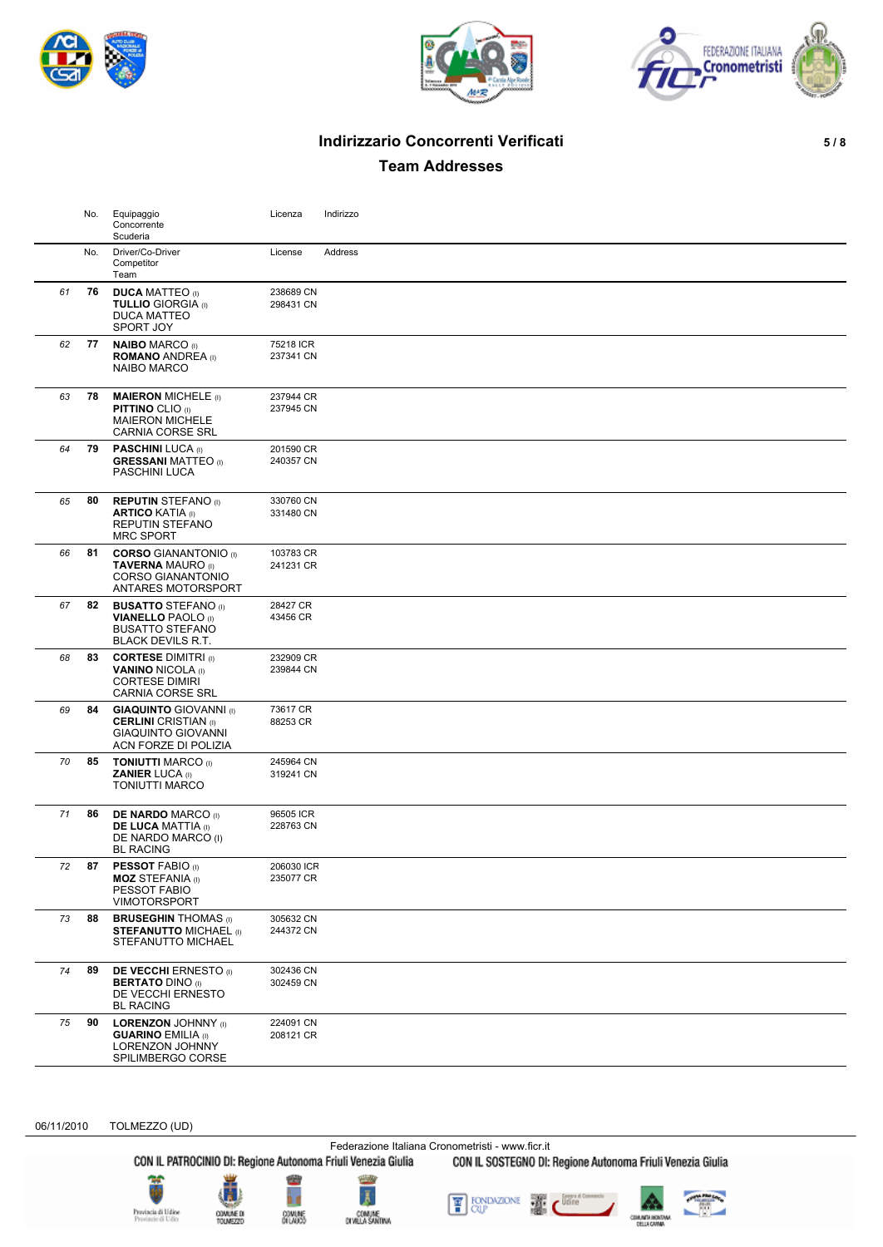





# **Indirizzario Concorrenti Verificati 5 / 8**

**Team Addresses**

|    | No. | Equipaggio<br>Concorrente<br>Scuderia                                                                             | Licenza                 | Indirizzo |
|----|-----|-------------------------------------------------------------------------------------------------------------------|-------------------------|-----------|
|    | No. | Driver/Co-Driver<br>Competitor<br>Team                                                                            | License                 | Address   |
| 61 | 76  | <b>DUCA MATTEO</b> (I)<br><b>TULLIO GIORGIA</b> (I)<br><b>DUCA MATTEO</b><br><b>SPORT JOY</b>                     | 238689 CN<br>298431 CN  |           |
| 62 | 77  | <b>NAIBO MARCO (I)</b><br><b>ROMANO ANDREA</b> (I)<br><b>NAIBO MARCO</b>                                          | 75218 ICR<br>237341 CN  |           |
| 63 | 78  | <b>MAIERON MICHELE (I)</b><br><b>PITTINO CLIO (I)</b><br><b>MAIERON MICHELE</b><br><b>CARNIA CORSE SRL</b>        | 237944 CR<br>237945 CN  |           |
| 64 | 79  | <b>PASCHINI LUCA (I)</b><br><b>GRESSANI MATTEO</b> (I)<br>PASCHINI LUCA                                           | 201590 CR<br>240357 CN  |           |
| 65 | 80  | <b>REPUTIN STEFANO</b> (I)<br><b>ARTICO KATIA</b> (I)<br>REPUTIN STEFANO<br><b>MRC SPORT</b>                      | 330760 CN<br>331480 CN  |           |
| 66 | 81  | <b>CORSO GIANANTONIO (I)</b><br><b>TAVERNA MAURO</b> (I)<br><b>CORSO GIANANTONIO</b><br>ANTARES MOTORSPORT        | 103783 CR<br>241231 CR  |           |
| 67 | 82  | <b>BUSATTO STEFANO</b> (I)<br><b>VIANELLO PAOLO</b> (I)<br><b>BUSATTO STEFANO</b><br><b>BLACK DEVILS R.T.</b>     | 28427 CR<br>43456 CR    |           |
| 68 | 83  | <b>CORTESE DIMITRI</b> (I)<br><b>VANINO NICOLA (I)</b><br><b>CORTESE DIMIRI</b><br><b>CARNIA CORSE SRL</b>        | 232909 CR<br>239844 CN  |           |
| 69 | 84  | <b>GIAQUINTO</b> GIOVANNI (I)<br><b>CERLINI</b> CRISTIAN (I)<br><b>GIAQUINTO GIOVANNI</b><br>ACN FORZE DI POLIZIA | 73617 CR<br>88253 CR    |           |
| 70 | 85  | <b>TONIUTTI MARCO (I)</b><br><b>ZANIER LUCA (I)</b><br><b>TONIUTTI MARCO</b>                                      | 245964 CN<br>319241 CN  |           |
| 71 | 86  | <b>DE NARDO MARCO (I)</b><br><b>DE LUCA MATTIA (I)</b><br>DE NARDO MARCO (I)<br><b>BL RACING</b>                  | 96505 ICR<br>228763 CN  |           |
| 72 | 87  | <b>PESSOT FABIO (I)</b><br><b>MOZ STEFANIA</b> (I)<br>PESSOT FABIO<br><b>VIMOTORSPORT</b>                         | 206030 ICR<br>235077 CR |           |
| 73 | 88  | <b>BRUSEGHIN THOMAS (I)</b><br><b>STEFANUTTO MICHAEL (I)</b><br>STEFANUTTO MICHAEL                                | 305632 CN<br>244372 CN  |           |
| 74 | 89  | <b>DE VECCHI ERNESTO</b> (i)<br><b>BERTATO DINO</b> (I)<br>DE VECCHI ERNESTO<br><b>BL RACING</b>                  | 302436 CN<br>302459 CN  |           |
| 75 | 90  | <b>LORENZON JOHNNY (I)</b><br><b>GUARINO EMILIA</b> (i)<br>LORENZON JOHNNY<br>SPILIMBERGO CORSE                   | 224091 CN<br>208121 CR  |           |

06/11/2010 TOLMEZZO (UD)

Federazione Italiana Cronometristi - www.ficr.it<br>CON IL PATROCINIO DI: Regione Autonoma Friuli Venezia Giulia CON IL SOSTEGNO DI: Regione Autonoma Friuli Venezia Giulia





COMUNE D





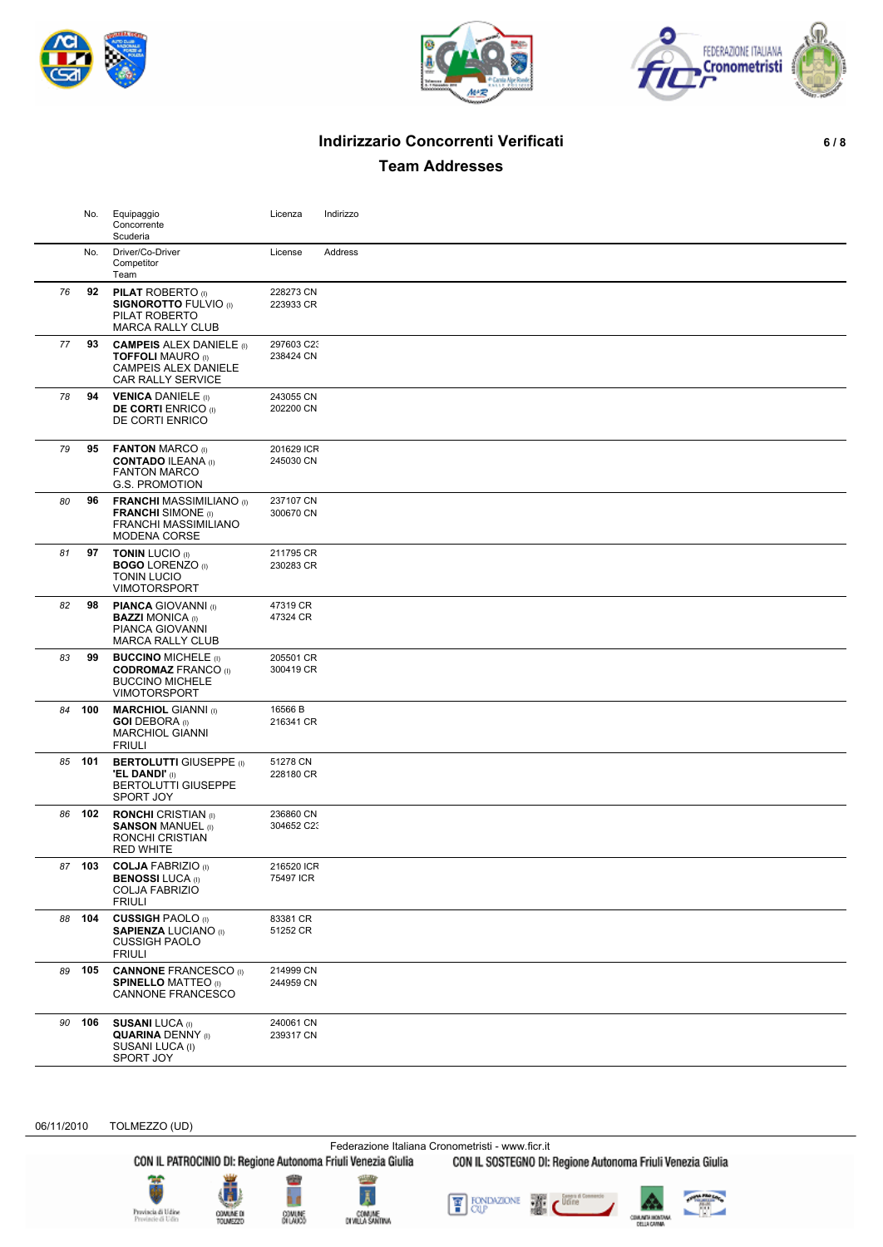





# **Indirizzario Concorrenti Verificati 6 / 8**

**Team Addresses**

|    | No.    | Equipaggio<br>Concorrente<br>Scuderia                                                                                  | Licenza                 | Indirizzo |
|----|--------|------------------------------------------------------------------------------------------------------------------------|-------------------------|-----------|
|    | No.    | Driver/Co-Driver<br>Competitor<br>Team                                                                                 | License                 | Address   |
| 76 | 92     | <b>PILAT ROBERTO</b> (I)<br><b>SIGNOROTTO FULVIO (I)</b><br>PILAT ROBERTO<br><b>MARCA RALLY CLUB</b>                   | 228273 CN<br>223933 CR  |           |
| 77 | 93     | <b>CAMPEIS ALEX DANIELE</b> (I)<br><b>TOFFOLI MAURO (I)</b><br><b>CAMPEIS ALEX DANIELE</b><br><b>CAR RALLY SERVICE</b> | 297603 C23<br>238424 CN |           |
| 78 | 94     | <b>VENICA DANIELE (I)</b><br><b>DE CORTI ENRICO</b> (I)<br>DE CORTI ENRICO                                             | 243055 CN<br>202200 CN  |           |
| 79 | 95     | <b>FANTON MARCO</b> (I)<br><b>CONTADO ILEANA (I)</b><br><b>FANTON MARCO</b><br><b>G.S. PROMOTION</b>                   | 201629 ICR<br>245030 CN |           |
| 80 | 96     | <b>FRANCHI MASSIMILIANO</b> (I)<br><b>FRANCHI</b> SIMONE (I)<br><b>FRANCHI MASSIMILIANO</b><br><b>MODENA CORSE</b>     | 237107 CN<br>300670 CN  |           |
| 81 | 97     | <b>TONIN LUCIO (I)</b><br><b>BOGO LORENZO</b> (I)<br><b>TONIN LUCIO</b><br><b>VIMOTORSPORT</b>                         | 211795 CR<br>230283 CR  |           |
| 82 | 98     | <b>PIANCA GIOVANNI</b> (I)<br><b>BAZZI MONICA</b> (I)<br>PIANCA GIOVANNI<br><b>MARCA RALLY CLUB</b>                    | 47319 CR<br>47324 CR    |           |
| 83 | 99     | <b>BUCCINO MICHELE</b> (I)<br><b>CODROMAZ FRANCO (I)</b><br><b>BUCCINO MICHELE</b><br><b>VIMOTORSPORT</b>              | 205501 CR<br>300419 CR  |           |
| 84 | 100    | <b>MARCHIOL GIANNI</b> (I)<br><b>GOI DEBORA</b> (I)<br><b>MARCHIOL GIANNI</b><br><b>FRIULI</b>                         | 16566 B<br>216341 CR    |           |
|    | 85 101 | <b>BERTOLUTTI GIUSEPPE (I)</b><br><b>'EL DANDI'</b> (I)<br><b>BERTOLUTTI GIUSEPPE</b><br>SPORT JOY                     | 51278 CN<br>228180 CR   |           |
| 86 | 102    | <b>RONCHI</b> CRISTIAN (I)<br><b>SANSON MANUEL (I)</b><br>RONCHI CRISTIAN<br><b>RED WHITE</b>                          | 236860 CN<br>304652 C23 |           |
|    | 87 103 | <b>COLJA FABRIZIO</b> (I)<br><b>BENOSSI LUCA (I)</b><br><b>COLJA FABRIZIO</b><br><b>FRIULI</b>                         | 216520 ICR<br>75497 ICR |           |
| 88 | 104    | <b>CUSSIGH PAOLO</b> (I)<br><b>SAPIENZA LUCIANO</b> (I)<br><b>CUSSIGH PAOLO</b><br><b>FRIULI</b>                       | 83381 CR<br>51252 CR    |           |
| 89 | 105    | <b>CANNONE FRANCESCO (I)</b><br><b>SPINELLO MATTEO (I)</b><br><b>CANNONE FRANCESCO</b>                                 | 214999 CN<br>244959 CN  |           |
| 90 | 106    | <b>SUSANI LUCA (I)</b><br><b>QUARINA DENNY (I)</b><br>SUSANI LUCA (I)<br>SPORT JOY                                     | 240061 CN<br>239317 CN  |           |

06/11/2010 TOLMEZZO (UD)

Federazione Italiana Cronometristi - www.ficr.it<br>CON IL PATROCINIO DI: Regione Autonoma Friuli Venezia Giulia CON IL SOSTEGNO DI:

CON IL SOSTEGNO DI: Regione Autonoma Friuli Venezia Giulia









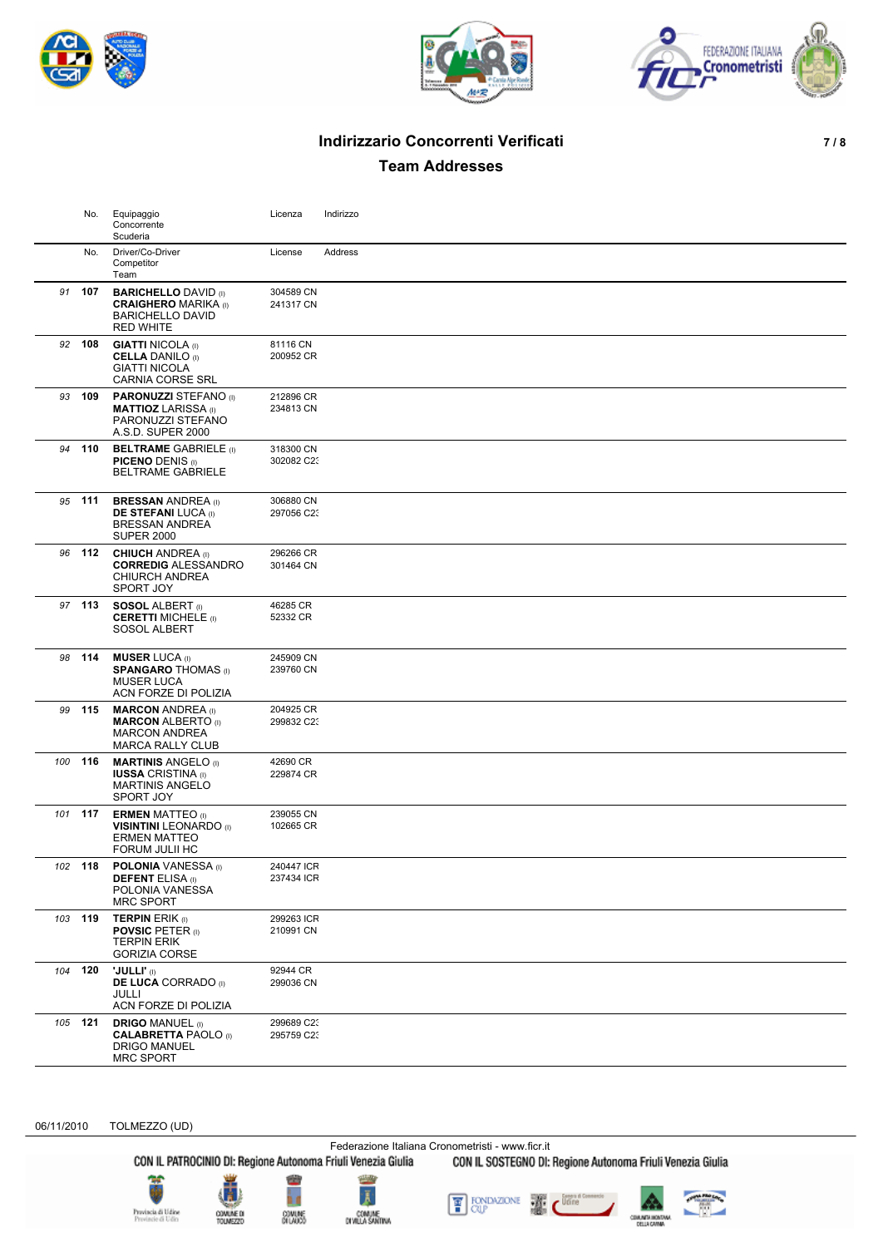





# **Indirizzario Concorrenti Verificati 7 / 8**

**Team Addresses**

|     | No.     | Equipaggio<br>Concorrente<br>Scuderia                                                                     | Licenza                  | Indirizzo |
|-----|---------|-----------------------------------------------------------------------------------------------------------|--------------------------|-----------|
|     | No.     | Driver/Co-Driver<br>Competitor<br>Team                                                                    | License                  | Address   |
|     | 91 107  | <b>BARICHELLO DAVID (I)</b><br><b>CRAIGHERO MARIKA</b> (I)<br><b>BARICHELLO DAVID</b><br><b>RED WHITE</b> | 304589 CN<br>241317 CN   |           |
|     | 92 108  | <b>GIATTI NICOLA</b> (I)<br><b>CELLA DANILO</b> (I)<br><b>GIATTI NICOLA</b><br><b>CARNIA CORSE SRL</b>    | 81116 CN<br>200952 CR    |           |
| 93  | 109     | <b>PARONUZZI STEFANO</b> (I)<br><b>MATTIOZ LARISSA</b> (I)<br>PARONUZZI STEFANO<br>A.S.D. SUPER 2000      | 212896 CR<br>234813 CN   |           |
|     | 94 110  | <b>BELTRAME GABRIELE (I)</b><br><b>PICENO DENIS (I)</b><br><b>BELTRAME GABRIELE</b>                       | 318300 CN<br>302082 C23  |           |
|     | 95 111  | <b>BRESSAN ANDREA</b> (I)<br><b>DE STEFANI LUCA (I)</b><br>BRESSAN ANDREA<br><b>SUPER 2000</b>            | 306880 CN<br>297056 C23  |           |
| 96  | 112     | <b>CHIUCH ANDREA</b> (I)<br><b>CORREDIG ALESSANDRO</b><br><b>CHIURCH ANDREA</b><br>SPORT JOY              | 296266 CR<br>301464 CN   |           |
|     | 97 113  | <b>SOSOL ALBERT</b> (i)<br><b>CERETTI MICHELE (I)</b><br>SOSOL ALBERT                                     | 46285 CR<br>52332 CR     |           |
|     | 98 114  | <b>MUSER LUCA</b> (I)<br><b>SPANGARO THOMAS (I)</b><br><b>MUSER LUCA</b><br>ACN FORZE DI POLIZIA          | 245909 CN<br>239760 CN   |           |
|     | 99 115  | <b>MARCON ANDREA</b> (I)<br><b>MARCON</b> ALBERTO (I)<br><b>MARCON ANDREA</b><br><b>MARCA RALLY CLUB</b>  | 204925 CR<br>299832 C23  |           |
| 100 | 116     | <b>MARTINIS ANGELO</b> (I)<br><b>IUSSA CRISTINA</b> (I)<br><b>MARTINIS ANGELO</b><br><b>SPORT JOY</b>     | 42690 CR<br>229874 CR    |           |
|     | 101 117 | <b>ERMEN MATTEO</b> (I)<br><b>VISINTINI</b> LEONARDO (I)<br><b>ERMEN MATTEO</b><br>FORUM JULII HC         | 239055 CN<br>102665 CR   |           |
|     | 102 118 | <b>POLONIA</b> VANESSA (I)<br><b>DEFENT ELISA</b> (I)<br>POLONIA VANESSA<br><b>MRC SPORT</b>              | 240447 ICR<br>237434 ICR |           |
| 103 | 119     | <b>TERPIN ERIK (I)</b><br><b>POVSIC PETER (I)</b><br><b>TERPIN ERIK</b><br><b>GORIZIA CORSE</b>           | 299263 ICR<br>210991 CN  |           |
| 104 | 120     | <b>'JULLI'</b> (I)<br><b>DE LUCA CORRADO</b> (I)<br>JULLI<br>ACN FORZE DI POLIZIA                         | 92944 CR<br>299036 CN    |           |
|     | 105 121 | <b>DRIGO MANUEL (I)</b><br><b>CALABRETTA PAOLO</b> (I)<br><b>DRIGO MANUEL</b><br><b>MRC SPORT</b>         | 299689 C23<br>295759 C23 |           |

06/11/2010 TOLMEZZO (UD)

Federazione Italiana Cronometristi - www.ficr.it<br>CON IL PATROCINIO DI: Regione Autonoma Friuli Venezia Giulia CON IL SOSTEGNO DI: Regione Autonoma Friuli Venezia Giulia





ĥ d

COMUNE<br>DILAUCO